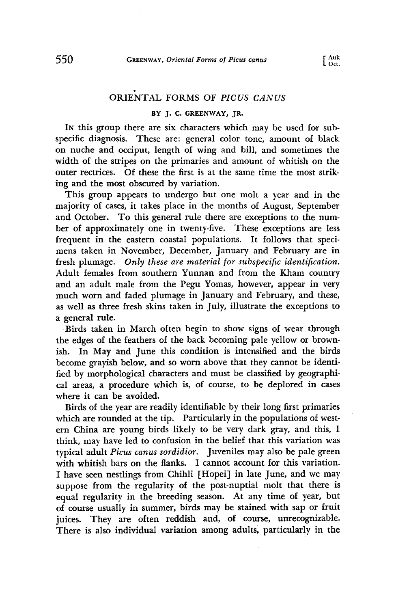# **ORIENTAL FORMS OF PICUS CANUS**

# **BY J. G. GREENWAY, JR.**

**Is this group there are six characters which may be used for subspecific diagnosis. These are: general color tone, amount of black on nuche and occiput, length of wing and bill, and sometimes the width of the stripes on the primaries and amount of whitish on the outer rectrices. Of these the first is at the same time the most striking and the most obscured by variation.** 

**This group appears to undergo but one molt a year and in the majority of cases, it takes place in the months of August, September and October. To this general rule there are exceptions to the number of approximately one in twenty-five. These exceptions are less frequent in the eastern coastal populations. It follows that specimens taken in November, December, January and February are in**  fresh plumage. Only these are material for subspecific identification. **Adult females from southern Yunnan and from the Kham country and an adult male from the Pegu Yomas, however, appear in very much worn and faded plumage in January and February, and these, as well as three fresh skins taken in July, illustrate the exceptions to a general rule.** 

**Birds taken in March often begin to show signs of wear through the edges of the feathers of the back becoming pale yellow or brownish. In May and June this condition is intensified and the birds become grayish below, and so worn above that they cannot be identified by morphological characters and must be classified by geographical areas, a procedure which is, of course, to be deplored in cases where it can be avoided.** 

**Birds of the year are readily identifiable by their long first primaries**  which are rounded at the tip. Particularly in the populations of west**ern China are young birds likely to be very dark gray, and this, I think, may have led to confusion in the belief that this variation was typical adult Picus canus sordidfor. Juveniles may also be pale green**  with whitish bars on the flanks. I cannot account for this variation. **! have seen nestlings from Chihli [Hopei] in late June, and we may suppose from the regularity of the post-nuptial molt that there is equal regularity in the breeding season. At any time of year, but of course usually in summer, birds may be stained with sap or fruit juices. They are often reddish and, of course, unrecognizable. There is also individual variation among adults; particularly in the**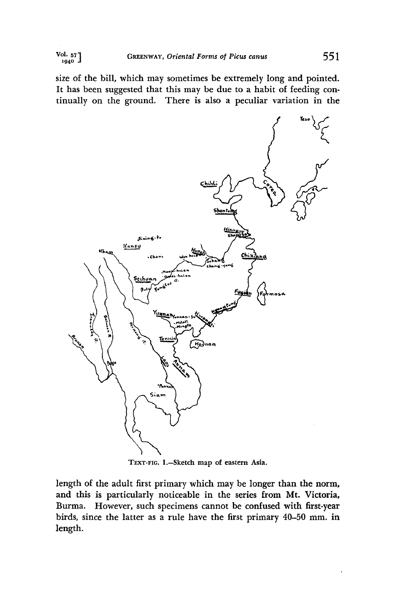**size of the bill, which may sometimes be extremely long and pointed. It has been suggested that this may be due to a habit of feeding continually on the ground. There is also a peculiar variation in the** 



**TEXT-FIO. 1.--Sketch map of eastern Asia.** 

**length of the adult first primary which may be longer than the norm, and this is particularly noticeable in the series from Mt. Victoria, Burma. However, such specimens cannot be confused with first-year birds, since the latter as a rule have the first primary 40-50 mm. in length.**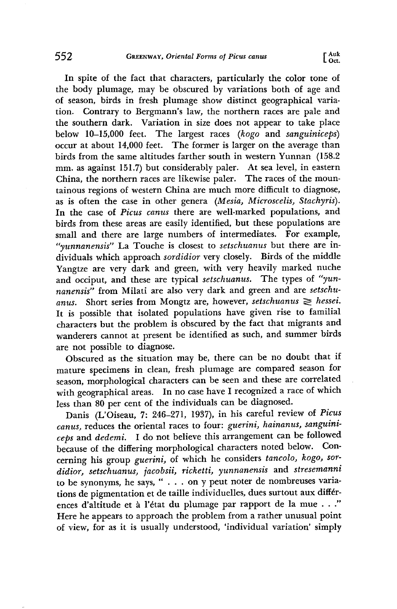**In spite of the fact that characters, particularly the color tone of the body plumage, may be obscured by variations both of age and of season, birds in fresh plumage show distinct geographical variation. Contrary to Bergmann's law, the northern races are pale and the southern dark. Variation in size does not appear to take place below 10-15,000 feet. The largest races (kogo and sanguiniceps) occur at about 14,000 feet. The former is larger on the average than birds from the same altitudes farther south in western Yunnan (158.2 mm. as against 151.7) but considerably paler. At sea level, in eastern China, the northern races are likewise paler. The races of the mountainous regions of western China are much more difficult to diagnose, as is often the case in other genera (Mesia, Microscelis, Stachyris). In the case of Picus canus there are well-marked populations, and birds from these areas are easily identified, but these populations are small and there are large numbers of intermediates. For example, "yunnanensis" La Touche is closest to setschuanus but there are individuals which approach sordidior very closely. Birds of the middle**  Yangtze are very dark and green, with very heavily marked nuche **and occiput, and these are typical setschuanus. The types of "yunnanensis" from Milati are also very dark and green and are setschu**anus. Short series from Mongtz are, however, setschuanus  $\geq$  hessei. **It is possible that isolated populations have given rise to familial characters but the problem is obscured by the fact that migrants and wanderers cannot at present be identified as such, and summer birds are not possible to diagnose.** 

**Obscured as the situation may be, there can be no doubt that if mature specimens in clean, fresh plumage are compared season for season, morphological characters can be seen and these are correlated with geographical areas. In no case have I recognized a race of which less than 80 per cent of the individuals can be diagnosed.** 

**Danis (L'Oiseau, 7: 246-271, 1937), in his careful review of Picus**  canus, reduces the oriental races to four: guerini, hainanus, sanguini**ceps and dedemi. I do not believe this arrangement canbe followed because of the differing morphological characters noted below. Con**cerning his group *guerini*, of which he considers tancolo, kogo, sordidior, setschuanus, jacobsii, ricketti, yunnanensis and stresemanni to be synonyms, he says, " . . . on y peut noter de nombreuses variations de pigmentation et de taille individuelles, dues surtout aux différ**ences d'altitude et h l'6tat du plumage par rapport de la mue . . ." Here he appears to approach the problem from a rather unusual point of view, for as it is usually understood, 'individual variation' simply**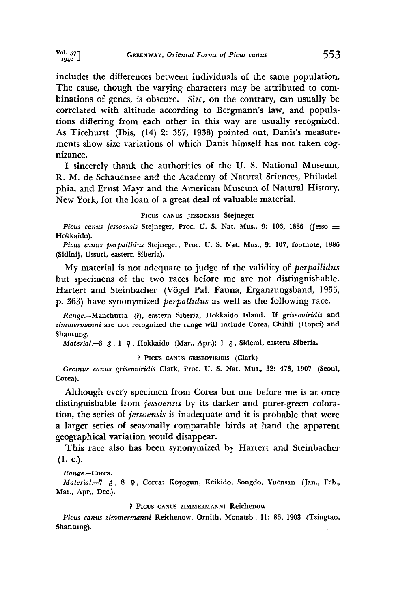**includes the differences between individuals of the same population. The cause, though the varying characters may be attributed to combinations of genes, is obscure. Size, on the contrary, can usually be correlated with altitude according to Bergmann's law, and populations differing from each other in this way are usually recognized. As Ticehurst (Ibis, (14) 2: 357, 1938) pointed out, Danis's measurements show size variations of which Danis himself has not taken cognizance.** 

**I sincerely thank the authorities of the U.S. National Museum, R. M. de Schauensee and the Academy of Natural Sciences, Philadelphia, and Ernst Mayr and the American Museum of Natural History, New York, for the loan of a great deal of valuable material.** 

## **PICUS CANUS JESSOENSIS Stejneger**

Picus canus jessoensis Stejneger, Proc. U. S. Nat. Mus., 9: 106, 1886 (Jesso = **Hokkaido).** 

**Picus canus perpallidus Stejneger, Proc. U.S. Nat. Mus., 9: 107, footnote, 1886 (Sidinij, Ussuri, eastern Siberia).** 

**My material is not adequate to judge of the validity of perpallidus but specimens of the two races before me are not distinguishable. Harterr and Steinbacher (V6gel Pal. Fauna, Erganzungsband, 1935, p. 363) have synonymized perpallidus as well as the following race.** 

**Range.--Manchuria (?), eastern Siberia, Hokkaido Island. If griseoviridis and zimmermanni are not recognized the range will include Corea, Chihli (Hopei) and Shantung.** 

Material.-3  $\xi$ , 1  $\varphi$ , Hokkaido (Mar., Apr.); 1  $\xi$ , Sidemi, eastern Siberia.

### ? PICUS CANUS GRISEOVIRIDIS (Clark)

**Gecinus canus griseoviridis Clark, Proc. U.S. Nat. Mus., 82: 478, 1907 (Seoul, Corea).** 

**Although every specimen from Corea but one before me is at once distinguishable from jessoensis by its darker and purer-green coloration, the series of jessoensis is inadequate and it is probable that were a larger series of seasonally comparable birds at hand the apparent geographical variation would disappear.** 

This race also has been synonymized by Hartert and Steinbacher **(1. c.).** 

Range.-Corea.

**MateriaL--7 8, 8 9, Corea: Koyogun, Keikido, Songdo, Yuensan (Jan., Feb., Mar., Apr., Dec.).** 

### **? PICUS CANUS ZIMMERMANNI Reichenow**

Picus canus zimmermanni Reichenow, Ornith. Monatsb., 11: 86, 1903 (Tsingtao, **Shantung).**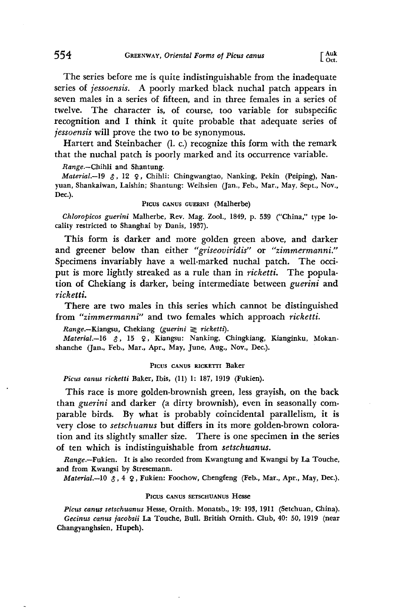**The series before me is quite indistinguishable from the inadequate series of jessoensis. A poorly marked black nuchal patch appears in seven males in a series of fifteen, and in three females in a series of twelve. The character is, of course, too variable for subspecific recognition and I think it quite probable that adequate series of jessoensis will prove the two to be synonymous.** 

Hartert and Steinbacher (l. c.) recognize this form with the remark **that the nuchal patch is poorly marked and its occurrence variable.** 

**Range.--Chihli and Shantung.** 

Material.-19  $\delta$ , 12  $\varphi$ , Chihli: Chingwangtao, Nanking, Pekin (Peiping), Nan**yuan, Shankaiwan, Laishin; Shantung: Weihsien (Jan., Feb., Mar., May, Sept., Nov., Dec.).** 

# PICUS CANUS GUERINI (Malherbe)

Chloropicos guerini Malherbe, Rev. Mag. Zool., 1849, p. 539 ("China," type lo**cality restricted to Shanghai by Danis, 1957).** 

**This form is darker and more golden green above, and darker**  and greener below than either "griseoviridis" or "zimmermanni." **Specimens invariably have a well-marked nuchal patch. The occiput is more lightly streaked as a rule than in ricketti. The population of Chekiang is darker, being intermediate between guerini and rickertl.** 

**There are two males in this series which cannot be distinguished**  from "zimmermanni" and two females which approach ricketti.

 $Range$ -Kiangsu, Chekiang (guerini  $\ge$  ricketti).

Material.-16  $\delta$ , 15 Q, Kiangsu: Nanking, Chingkiang, Kianginku, Mokan**shanche (Jan., Feb., Mar., Apr., May, June, Aug., Nov., Dec.).** 

#### **PIcus CANUS RICKETTI Baker**

**Picus canus ricketti Baker, Ibis, (ll) l: 187, 1919 (Fukien).** 

**This race is more golden-brownish green, less grayish, on the back**  than guerini and darker (a dirty brownish), even in seasonally com**parable birds. By what is probably coincidental parallelism, it is**  very close to *setschuanus* but differs in its more golden-brown colora**tion and its slightly smaller size. There is one specimen in the series of ten which is indistinguishable from setschuanus.** 

**Range.--Fukien. It is also recorded from Kwangtung and Kwangsi by La Touche, and from Kwangsi by Stresemann.** 

Material.--10  $\zeta$ , 4  $\zeta$ , Fukien: Foochow, Chengfeng (Feb., Mar., Apr., May, Dec.).

# PICUS CANUS SETSCHUANUS Hesse

Picus canus setschuanus Hesse, Ornith. Monatsb., 19: 193, 1911 (Setchuan, China). **Gecinus canus jacobsii La Touche, Bull. British Ornith. Club, 40: 50, 1919 (near Changyanghsien, Hupeh).**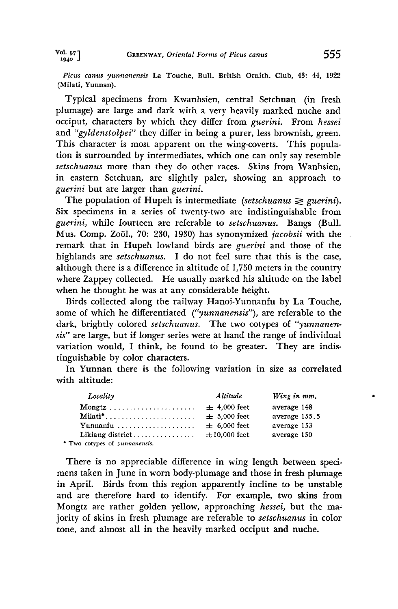**Vol.** 57]

**Picus canus yunnanensis La Touche, Bull. British Ornith. Club, 45: 44, 1922 (Milati, Yunnan).** 

**Typical specimens from Kwanhsien, central Setchuan (in fresh plumage) are large and dark with a very heavily marked nuche and occiput, characters by which they differ from guerini. From hessei and "gyldenstolpei" they differ in being a purer, less brownish, green. This character is most apparent on the wing-coverts. This population is surrounded by intermediates, which one can only say resemble setschuanus more than they do other races. Skins from Wanhsien, in eastern Setchuan, are slightly paler, showing an approach to guerini but are larger than guerini.** 

The population of Hupeh is intermediate (setschuanus  $\geq$  guerini). **Six specimens in a series of twenty-two are indistinguishable from guerini, while fourteen are referable to setschuanus. Bangs (Bull. Mus. Comp. Zo61., 70: 230, 1930) has synonymized jacobsii with the remark that in Hupeh lowland birds are guerini and those of the highlands are setschuanus. I do not feel sure that this is the case, although there is a difference in altitude of 1,750 meters in the country where Zappey collected. He usually marked his altitude on the label when he thought he was at any considerable height.** 

**Birds collected along the railway Hanoi-Yunnanfu by La Touche, some of which he differentiated ("yunnanensis"), are referable to the dark, brightly colored setschuanus. The two cotypes of "yunnanensis" are large, but if longer series were at hand the range of individual variation would, I think, be found to be greater. They are indistinguishable by color characters.** 

**In Yunnan there is the following variation in size as correlated with altitude:** 

| Locality                      | Altitude          | Wing in mm.   |
|-------------------------------|-------------------|---------------|
| Mongtz,                       | $\pm$ 4.000 feet  | average 148   |
| Milati <sup>*</sup>           | $\pm$ 5.000 feet  | average 155.5 |
| $Y$ unnanfu                   | $\pm$ 6.000 feet  | average 153   |
|                               | $\pm 10,000$ feet | average 150   |
| * Two cotypes of yunnanensis. |                   |               |

**There is no appreciable difference in wing length between specimens taken in June in worn body-plumage and those in fresh plumage in April. Birds from this region apparently incline to be unstable and are therefore hard to identify. For example, two skins from Mongtz are rather golden yellow, approaching hessei, but the majority of skins in fresh plumage are referable to setschuanus incolor tone, and almost all in the heavily marked occiput and nuche.**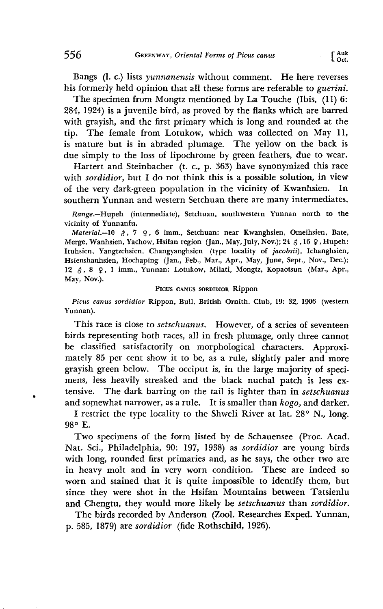Bangs (l. c.) lists *yunnanensis* without comment. He here reverses **his formerly held opinion that all these forms are referable to guerini.** 

**The specimen from Mongtz mentioned by La Touche (Ibis, (11) 6: 284, 1924) is a juvenile bird, as proved by the flanks which are barred with grayish, and the first primary which is long and rounded at the tip. The female from Lotukow, which was collected on May 11, is mature but is in abraded plumage. The yellow on the back is due simply to the loss of lipochrome by green feathers, due to wear.** 

**Harterr and Steinbacher (t. c., p. 363) have synonymized this race with sordidior, but I do not think this is a possible solution, in view**  of the very dark-green population in the vicinity of Kwanhsien. **southern Yunnan and western Setchuan there are many intermediates.** 

**Range.--Hupeh (intermediate), Setchuan, southwestern Yunnan north to the vicinity of Yunnanfu.** 

**Material.--10 3, 7 9, 6 imm., Setchuan: near Kwanghsien, Omeihsien, Bate, Merge, Wanhsien, Yachow, Hsifan region (Jan., May, July, Nov.); 24 3,16 9, Hupeh: Ituhsien, Yangtzehsien, Changyanghsien (type locality of jacobsii), Ichanghsien,**  Hsienshanhsien, Hochaping (Jan., Feb., Mar., Apr., May, June, Sept., Nov., Dec.); **12 3, 8 9, 1 imm., Yunnan: Lotukow, Milati, Mongtz, Kopaotsun (Mar., Apr., May, Nov.).** 

## **PICUS CANUS SORDIDIOR Rippon**

Picus canus sordidior Rippon, Bull. British Ornith. Club, 19: 32, 1906 (western **Yunnan).** 

**This race is close to setschuanus. However, of a series of seventeen birds representing both races, all in fresh plumage, only three cannot be classified satisfactorily on morphological characters. Approximately 85 per cent show it to be, as a rule, slightly paler and more grayish green below. The occiput is, in the large majority of specimens, less heavily streaked and the black nuchal patch is less extensive. The dark barring on the tail is lighter than in setschuanus**  and somewhat narrower, as a rule. It is smaller than *kogo*, and darker.

I restrict the type locality to the Shweli River at lat. 28° N., long. 98° E.

**Two specimens of the form listed by de Schauensee (Proc. Acad. Nat. Sci., Philadelphia, 90: 197, 1958) as sordidior are young birds with long, rounded first primaries and, as he says, the other two are in heavy molt and in very worn condition. These are indeed so worn and stained that it is quite impossible to identify them, but since they were shot in the Hsifan Mountains between Tatsienlu and Chengtu, they would more likely be setschuanus than sordidior.** 

**The birds recorded by Anderson (Zool. Researches Exped. Yunnan, p. 585, 1879) are sordidior (fide Rothschild, 1926).**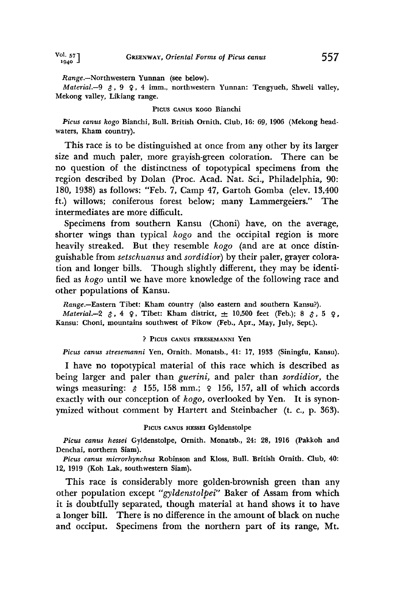$\frac{\text{Vol. } 57}{1940}$ 

## **Range.--Northwestern Yunnan (see below).**

Material.-9  $\zeta$ , 9  $\zeta$ , 4 imm., northwestern Yunnan: Tengyueh, Shweli valley, **Mekong valley, Likiang range.** 

# PICUS CANUS KOGO Bianchi

**Picus canus kogo Bianchi, Bull. British Ornith. Club, 16: 69, 1906 (Mekong headwaters, Kham country).** 

**This race is to be distinguished atonce from any other by its larger size and much paler, more grayish-green coloration. There can be no question of the distinctness of topotypical specimens from the region described by Dolan (Proc. Acad. Nat. Sci., Philadelphia, 90: 180, 1938) as follows: "Feb. 7, Camp 47, Gartoh Gomba (elev. 13,400 ft.) willows; coniferous forest below; many Lammergeiers." The intermediates are more difficult.** 

**Specimens from southern Kansu (Ghoni) have, on the average, shorter wings than typical kogo and the occipital region is more heavily streaked. But they resemble kogo (and are at once distinguishable from setschuanus and sordidior) by their paler, grayer coloration and longer bills. Though slightly different, they may be identified as kogo until we have more knowledge of the following race and other populations of Kansu.** 

Range.-Eastern Tibet: Kham country (also eastern and southern Kansu?).

Material.-2  $\delta$ , 4  $\varphi$ , Tibet: Kham district,  $\pm$  10,500 feet (Feb.); 8  $\delta$ , 5  $\varphi$ , **Kansu: Choni, mountains southwest of Pikow (Feb., Apr., May, July, Sept.).** 

# **? PICUS CANUS STRESEMANNI Yen**

**Picus canus stresemanni Yen, Ornith. Monatsb., 41: 17, 1938 (Siningfu, Kansu).** 

**I have no topotypical material of this race which is described as being larger and paler than guerini, and paler than sordidior, the wings measuring: 8 155, 158 ram.; 9 156, 157, all of which accords exactly with our conception of kogo, overlooked by Yen. It is synon**ymized without comment by Hartert and Steinbacher (t. c., p. 363).

# **PICUS CANUS HESSEI Gyldenstolpe**

**Picus canus hessei Gyldenstolpe, Ornith. Monatsb., 24: 28, 1916 (Pakkoh and Denchai, northern Siam).** 

**Picus canus microrhynchus Robinson and Kloss, Bull. British Ornith. Club, 40: 12, 1919 (Koh Lak, southwestern Siam).** 

**This race is considerably more golden-brownish green than any other population except "gyldenstolpei" Baker of Assam from which it is doubtfully separated, though material at hand shows it to have a longer bill. There is no difference in the amount of black on nuche and occiput. Specimens from the northern part of its range, Mt.**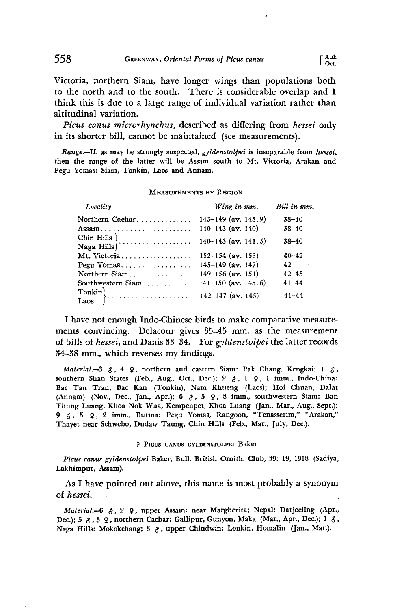**Victoria, northern Siam, have longer wings than populations both to the north and to the south. There is considerable overlap and I think this is due to a large range of individual variation rather than altitudinal variation.** 

**Picus canus microrhynchus, described as differing from hessei only in its shorter bill, cannot be maintained (see measurements).** 

**Range.--If, as may be strongly suspected, gyldenstolpeis inseparable from hessei, then the range of the latter will be Assam south to Mt. Victoria, Arakan and Pegu Yomas; Siam, Tonkin, Laos and Annam.** 

#### **MEASUREMENTS BY**

| Locality                                          | Wing in mm.             | Bill in mm. |
|---------------------------------------------------|-------------------------|-------------|
| Northern Cachar                                   | $143 - 149$ (av. 145.9) | $38 - 40$   |
| $Assam \ldots \ldots \ldots \ldots \ldots \ldots$ | $140 - 143$ (av. 140)   | $38 - 40$   |
|                                                   | $140-143$ (av. 141.5)   | $38 - 40$   |
|                                                   | $152 - 154$ (av. 153)   | $40 - 42$   |
| Pegu Yomas                                        | $145 - 149$ (av. 147)   | 42          |
| Northern Siam                                     | $149 - 156$ (av. 151)   | $42 - 45$   |
| Southwestern Siam                                 | $141 - 150$ (av. 145.6) | $41 - 44$   |
|                                                   | $142 - 147$ (av. 145)   | $41 - 44$   |

**I have not enough Indo-Chinese birds to make comparative measurements convincing. Delacour gives 35-45 mm. as the measurement**  of bills of *hessei*, and Danis 33–34. For gyldenstolpei the latter records **34-38 mm., which reverses my findings.** 

Material.-3  $\delta$ , 4  $\varphi$ , northern and eastern Siam: Pak Chang, Kengkai; 1  $\delta$ , **southern Shan States (Feb., Aug., Oct., Dec.); 2 8, 1 9, I imm., Indo-China:**  Bac Tan Tran, Bac Kan (Tonkin), Nam Khueng (Laos); Hoi Chuan, Dalat **(Annam) (Nov., Dec., Jan., Apr.); 6 8, 5 9, 8 imm., southwestern Siam: Ban Thung Luang, Khoa Nok Wua, Kempenpet, Khoa Luang (Jan., Mar., Aug., Sept.); 9 8, 5 9, 2 imm., Burma: Pegu Yomas, Rangoon, "Tenasserim," "Arakan," Thayet near Schwebo, Dudaw Taung, Chin Hills (Feb., Mar., July, Dec.).** 

#### **? PICUS CANUS GYLDENSTOLPEI Baker**

**Picus canus gyldenstolpei Baker, Bull. British Ornith. Club, \$9: 19, 1918 (Sadiya, Lakhimpur, Assam).** 

**As I have pointed out above, this name is most probably a synonym**  of hessei.

**MateriaL--6 8, 2 9, upper Assam: near Margherita; Nepal: Darjeeling (Apr., Dec.); 5 8, \$ 9, northern Cachar: Gallipur, Gunyon, Maka (Mar., Apr., Dec.); 1 8, Naga Hills: Mokokchang; \$ 8, upper Chindwin: Lonkin, Homalin (Jan., Mar.).**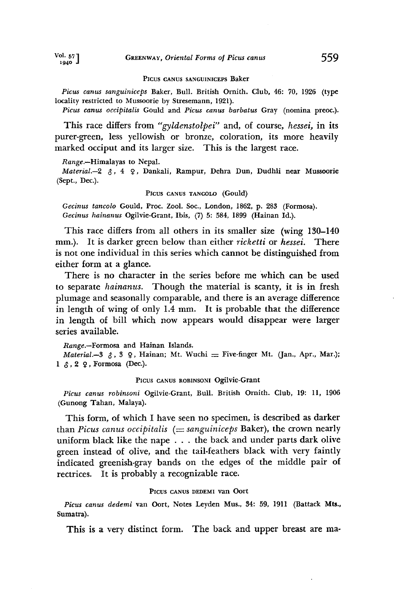$\begin{bmatrix} \text{Vol. } 57 \\ 1940 \end{bmatrix}$ 

#### PICUS CANUS SANGUINICEPS Baker

**Picus canus sanguiniceps Baker, Bull. British Ornith. Club, 46: 70, 1926 (type locality restricted to Mussoorie by Stresemann, 1921).** 

**Picus canus occipitalis Gould and Picus canus barbatus Gray (nomina preoc.).** 

**This race differs from "gyldenstolpei" and, of course, hessei, in its purer-green, less yellowish or bronze, coloration, its more heavily marked occiput and its larger size. This is the largest race.** 

**Range.--Himalayas to Nepal.** 

Material.--2  $\xi$ , 4  $\xi$ , Dankali, Rampur, Dehra Dun, Dudhli near Mussoorie **(Sept., Dec.).** 

### **PICUS CANUS TANCOLO (Gould)**

**Gecinus tancolo Gould, Proc. Zool. Soc., London, 1862, p. 285 (Formosa). Gecinus hainanus Ogilvie-Grant, Ibis, (7) 5: 584, 1899 (Hainan Id.).** 

**This race differs from all others in its smaller size (wing 150-140**  mm.). It is darker green below than either ricketti or hessei. There **is not one individual in this series which cannot be distinguished from either form at a glance.** 

**There is no character in the series before me which can be used to separate hainanus. Though the material is scanty, it is in fresh plumage and seasonally comparable, and there is an average difference in length of wing of only 1.4 mm. It is probable that the difference in length of bill which now appears would disappear were larger series available.** 

Range.-Formosa and Hainan Islands.

Material.-3  $\delta$ , 3  $\Omega$ , Hainan; Mt. Wuchi = Five-finger Mt. (Jan., Apr., Mar.); **1 /•, 2 9, Formosa (Dec.).** 

### **PICUS CANUS ROBINSONI Ogilvie-Grant**

**Picus canus robinsoni Ogilvie-Grant, Bull. British Ornith. Club, 19: 11, 1906 (Gunong Tahan, Malaya).** 

**This form, of which I have seen no specimen, is described as darker**  than Picus canus occipitalis  $(=sanguiniceps Baker)$ , the crown nearly **uniform black like the nape . . . the back and under parts dark olive green instead of olive, and the tail-feathers black with very faintly indicated greenish-gray bands on the edges of the middle pair of rectrices. It is probably a recognizable race.** 

#### **PIcus CANUS DEDEMI van Oort**

**Picus canus dedemi van Oort, Notes Leyden Mus., 84: 59, 1911 (Battack Mrs., Sumatra).** 

**This is a very distinct form. The back and upper breast are ma-**